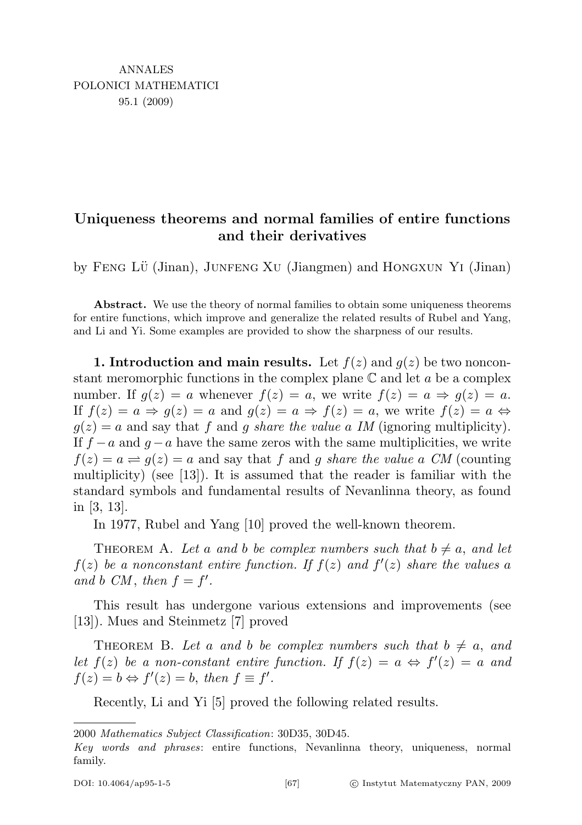# Uniqueness theorems and normal families of entire functions and their derivatives

by Feng Lu¨ (Jinan), Junfeng Xu (Jiangmen) and Hongxun Yi (Jinan)

Abstract. We use the theory of normal families to obtain some uniqueness theorems for entire functions, which improve and generalize the related results of Rubel and Yang, and Li and Yi. Some examples are provided to show the sharpness of our results.

1. Introduction and main results. Let  $f(z)$  and  $g(z)$  be two nonconstant meromorphic functions in the complex plane  $\mathbb C$  and let a be a complex number. If  $g(z) = a$  whenever  $f(z) = a$ , we write  $f(z) = a \Rightarrow g(z) = a$ . If  $f(z) = a \Rightarrow g(z) = a$  and  $g(z) = a \Rightarrow f(z) = a$ , we write  $f(z) = a \Leftrightarrow$  $g(z) = a$  and say that f and g share the value a IM (ignoring multiplicity). If  $f - a$  and  $q - a$  have the same zeros with the same multiplicities, we write  $f(z) = a \rightleftharpoons g(z) = a$  and say that f and g share the value a CM (counting multiplicity) (see [13]). It is assumed that the reader is familiar with the standard symbols and fundamental results of Nevanlinna theory, as found in [3, 13].

In 1977, Rubel and Yang [10] proved the well-known theorem.

THEOREM A. Let a and b be complex numbers such that  $b \neq a$ , and let  $f(z)$  be a nonconstant entire function. If  $f(z)$  and  $f'(z)$  share the values a and b CM, then  $f = f'$ .

This result has undergone various extensions and improvements (see [13]). Mues and Steinmetz [7] proved

THEOREM B. Let a and b be complex numbers such that  $b \neq a$ , and let  $f(z)$  be a non-constant entire function. If  $f(z) = a \Leftrightarrow f'(z) = a$  and  $f(z) = b \Leftrightarrow f'(z) = b$ , then  $f \equiv f'$ .

Recently, Li and Yi [5] proved the following related results.

<sup>2000</sup> Mathematics Subject Classification: 30D35, 30D45.

Key words and phrases: entire functions, Nevanlinna theory, uniqueness, normal family.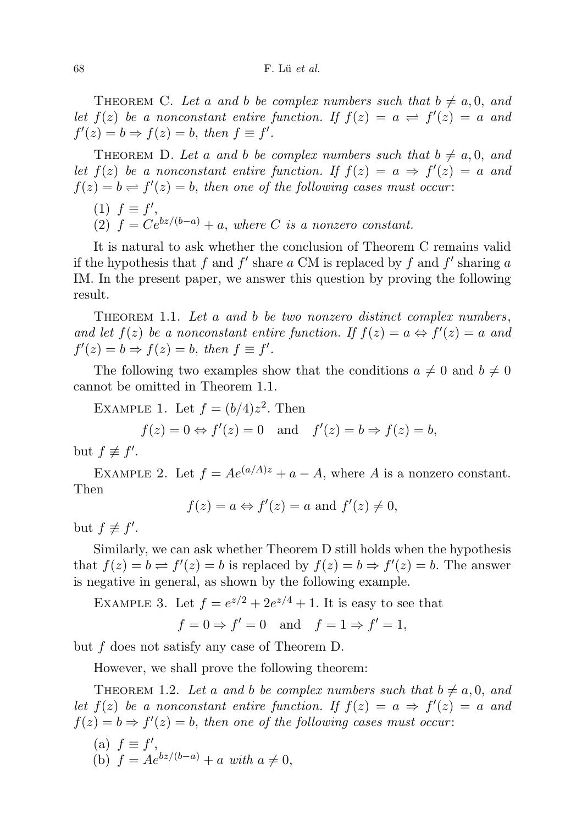THEOREM C. Let a and b be complex numbers such that  $b \neq a, 0,$  and let  $f(z)$  be a nonconstant entire function. If  $f(z) = a \rightleftharpoons f'(z) = a$  and  $f'(z) = b \Rightarrow f(z) = b$ , then  $f \equiv f'$ .

THEOREM D. Let a and b be complex numbers such that  $b \neq a, 0,$  and let  $f(z)$  be a nonconstant entire function. If  $f(z) = a \Rightarrow f'(z) = a$  and  $f(z) = b \rightleftharpoons f'(z) = b$ , then one of the following cases must occur:

$$
(1) f \equiv f',
$$

(2)  $f = Ce^{bz/(b-a)} + a$ , where C is a nonzero constant.

It is natural to ask whether the conclusion of Theorem C remains valid if the hypothesis that f and  $f'$  share a CM is replaced by f and  $f'$  sharing a IM. In the present paper, we answer this question by proving the following result.

THEOREM 1.1. Let a and b be two nonzero distinct complex numbers, and let  $f(z)$  be a nonconstant entire function. If  $f(z) = a \Leftrightarrow f'(z) = a$  and  $f'(z) = b \Rightarrow f(z) = b$ , then  $f \equiv f'$ .

The following two examples show that the conditions  $a \neq 0$  and  $b \neq 0$ cannot be omitted in Theorem 1.1.

EXAMPLE 1. Let  $f = (b/4)z^2$ . Then

$$
f(z) = 0 \Leftrightarrow f'(z) = 0
$$
 and  $f'(z) = b \Rightarrow f(z) = b$ ,

but  $f \not\equiv f'$ .

EXAMPLE 2. Let  $f = Ae^{(a/A)z} + a - A$ , where A is a nonzero constant. Then

$$
f(z) = a \Leftrightarrow f'(z) = a
$$
 and  $f'(z) \neq 0$ ,

but  $f \not\equiv f'$ .

Similarly, we can ask whether Theorem D still holds when the hypothesis that  $f(z) = b \rightleftharpoons f'(z) = b$  is replaced by  $f(z) = b \Rightarrow f'(z) = b$ . The answer is negative in general, as shown by the following example.

EXAMPLE 3. Let  $f = e^{z/2} + 2e^{z/4} + 1$ . It is easy to see that  $f = 0 \Rightarrow f' = 0$  and  $f = 1 \Rightarrow f' = 1$ ,

but f does not satisfy any case of Theorem D.

However, we shall prove the following theorem:

THEOREM 1.2. Let a and b be complex numbers such that  $b \neq a, 0,$  and let  $f(z)$  be a nonconstant entire function. If  $f(z) = a \Rightarrow f'(z) = a$  and  $f(z) = b \Rightarrow f'(z) = b$ , then one of the following cases must occur:

(a)  $f \equiv f'$ , (b)  $f = Ae^{bz/(b-a)} + a \text{ with } a \neq 0,$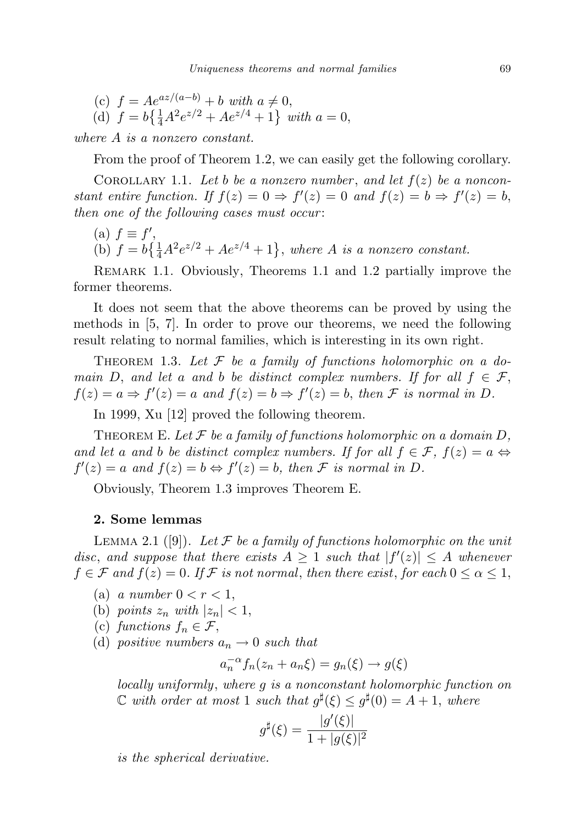(c)  $f = Ae^{az/(a-b)} + b$  with  $a \neq 0$ , (d)  $f = b\left\{\frac{1}{4}A^2e^{z/2} + Ae^{z/4} + 1\right\}$  with  $a = 0$ ,

where A is a nonzero constant.

From the proof of Theorem 1.2, we can easily get the following corollary.

COROLLARY 1.1. Let b be a nonzero number, and let  $f(z)$  be a nonconstant entire function. If  $f(z) = 0 \Rightarrow f'(z) = 0$  and  $f(z) = b \Rightarrow f'(z) = b$ , then one of the following cases must occur:

- (a)  $f \equiv f'$ ,
- (b)  $f = b\left\{\frac{1}{4}A^2e^{z/2} + Ae^{z/4} + 1\right\}$ , where A is a nonzero constant.

Remark 1.1. Obviously, Theorems 1.1 and 1.2 partially improve the former theorems.

It does not seem that the above theorems can be proved by using the methods in [5, 7]. In order to prove our theorems, we need the following result relating to normal families, which is interesting in its own right.

THEOREM 1.3. Let  $\mathcal F$  be a family of functions holomorphic on a domain D, and let a and b be distinct complex numbers. If for all  $f \in \mathcal{F}$ ,  $f(z) = a \Rightarrow f'(z) = a$  and  $f(z) = b \Rightarrow f'(z) = b$ , then F is normal in D.

In 1999, Xu [12] proved the following theorem.

THEOREM E. Let  $\mathcal F$  be a family of functions holomorphic on a domain D, and let a and b be distinct complex numbers. If for all  $f \in \mathcal{F}$ ,  $f(z) = a \Leftrightarrow$  $f'(z) = a$  and  $f(z) = b \Leftrightarrow f'(z) = b$ , then F is normal in D.

Obviously, Theorem 1.3 improves Theorem E.

## 2. Some lemmas

LEMMA 2.1 ([9]). Let F be a family of functions holomorphic on the unit disc, and suppose that there exists  $A \geq 1$  such that  $|f'(z)| \leq A$  whenever  $f \in \mathcal{F}$  and  $f(z) = 0$ . If  $\mathcal F$  is not normal, then there exist, for each  $0 \le \alpha \le 1$ ,

- (a) a number  $0 < r < 1$ ,
- (b) points  $z_n$  with  $|z_n| < 1$ ,
- (c) functions  $f_n \in \mathcal{F}$ ,
- (d) positive numbers  $a_n \to 0$  such that

$$
a_n^{-\alpha} f_n(z_n + a_n \xi) = g_n(\xi) \to g(\xi)
$$

locally uniformly, where g is a nonconstant holomorphic function on  $\mathbb C$  with order at most 1 such that  $g^{\sharp}(\xi) \leq g^{\sharp}(0) = A + 1$ , where

$$
g^{\sharp}(\xi) = \frac{|g'(\xi)|}{1 + |g(\xi)|^2}
$$

is the spherical derivative.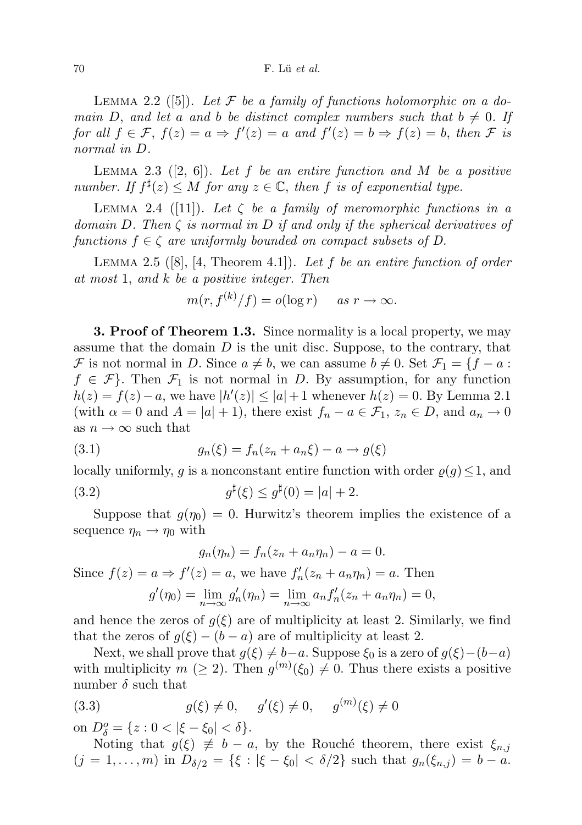#### $70$  F. Lü et al.

LEMMA 2.2 ([5]). Let  $\mathcal F$  be a family of functions holomorphic on a domain D, and let a and b be distinct complex numbers such that  $b \neq 0$ . If for all  $f \in \mathcal{F}$ ,  $f(z) = a \Rightarrow f'(z) = a$  and  $f'(z) = b \Rightarrow f(z) = b$ , then  $\mathcal F$  is normal in D.

LEMMA 2.3  $([2, 6])$ . Let f be an entire function and M be a positive number. If  $f^{\sharp}(z) \leq M$  for any  $z \in \mathbb{C}$ , then f is of exponential type.

LEMMA 2.4 ([11]). Let  $\zeta$  be a family of meromorphic functions in a domain D. Then  $\zeta$  is normal in D if and only if the spherical derivatives of functions  $f \in \zeta$  are uniformly bounded on compact subsets of D.

LEMMA 2.5  $([8], [4, Theorem 4.1])$ . Let f be an entire function of order at most 1, and k be a positive integer. Then

$$
m(r, f^{(k)}/f) = o(\log r) \quad \text{as } r \to \infty.
$$

**3. Proof of Theorem 1.3.** Since normality is a local property, we may assume that the domain  $D$  is the unit disc. Suppose, to the contrary, that F is not normal in D. Since  $a \neq b$ , we can assume  $b \neq 0$ . Set  $\mathcal{F}_1 = \{f - a :$  $f \in \mathcal{F}$ . Then  $\mathcal{F}_1$  is not normal in D. By assumption, for any function  $h(z) = f(z) - a$ , we have  $|h'(z)| \leq |a| + 1$  whenever  $h(z) = 0$ . By Lemma 2.1 (with  $\alpha = 0$  and  $A = |a| + 1$ ), there exist  $f_n - a \in \mathcal{F}_1$ ,  $z_n \in D$ , and  $a_n \to 0$ as  $n \to \infty$  such that

(3.1) 
$$
g_n(\xi) = f_n(z_n + a_n \xi) - a \to g(\xi)
$$

locally uniformly, g is a nonconstant entire function with order  $\varrho(g) \leq 1$ , and

(3.2) 
$$
g^{\sharp}(\xi) \le g^{\sharp}(0) = |a| + 2.
$$

Suppose that  $g(\eta_0) = 0$ . Hurwitz's theorem implies the existence of a sequence  $\eta_n \to \eta_0$  with

$$
g_n(\eta_n) = f_n(z_n + a_n \eta_n) - a = 0.
$$
  
Since  $f(z) = a \Rightarrow f'(z) = a$ , we have  $f'_n(z_n + a_n \eta_n) = a$ . Then  

$$
g'(\eta_0) = \lim_{n \to \infty} g'_n(\eta_n) = \lim_{n \to \infty} a_n f'_n(z_n + a_n \eta_n) = 0,
$$

and hence the zeros of  $q(\xi)$  are of multiplicity at least 2. Similarly, we find that the zeros of  $g(\xi) - (b - a)$  are of multiplicity at least 2.

Next, we shall prove that  $g(\xi) \neq b-a$ . Suppose  $\xi_0$  is a zero of  $g(\xi)-(b-a)$ with multiplicity  $m \ (\geq 2)$ . Then  $g^{(m)}(\xi_0) \neq 0$ . Thus there exists a positive number  $\delta$  such that

(3.3) 
$$
g(\xi) \neq 0, \quad g'(\xi) \neq 0, \quad g^{(m)}(\xi) \neq 0
$$

on  $D_{\delta}^{o} = \{z : 0 < |\xi - \xi_0| < \delta\}.$ 

Noting that  $g(\xi) \neq b - a$ , by the Rouché theorem, there exist  $\xi_{n,j}$  $(j = 1, \ldots, m)$  in  $D_{\delta/2} = \{\xi : |\xi - \xi_0| < \delta/2\}$  such that  $g_n(\xi_{n,j}) = b - a$ .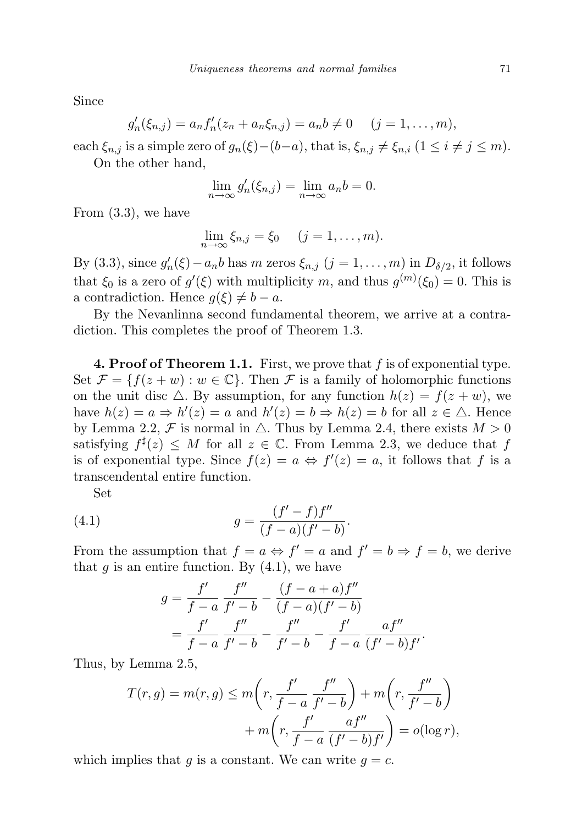Since

$$
g'_n(\xi_{n,j}) = a_n f'_n(z_n + a_n \xi_{n,j}) = a_n b \neq 0
$$
  $(j = 1, ..., m),$ 

each  $\xi_{n,j}$  is a simple zero of  $g_n(\xi)-(b-a)$ , that is,  $\xi_{n,j}\neq \xi_{n,i}$   $(1 \leq i \neq j \leq m)$ .

On the other hand,

$$
\lim_{n \to \infty} g'_n(\xi_{n,j}) = \lim_{n \to \infty} a_n b = 0.
$$

From (3.3), we have

$$
\lim_{n\to\infty}\xi_{n,j}=\xi_0\quad (j=1,\ldots,m).
$$

By (3.3), since  $g'_n(\xi) - a_n b$  has m zeros  $\xi_{n,j}$   $(j = 1, ..., m)$  in  $D_{\delta/2}$ , it follows that  $\xi_0$  is a zero of  $g'(\xi)$  with multiplicity m, and thus  $g^{(m)}(\xi_0) = 0$ . This is a contradiction. Hence  $q(\xi) \neq b - a$ .

By the Nevanlinna second fundamental theorem, we arrive at a contradiction. This completes the proof of Theorem 1.3.

**4. Proof of Theorem 1.1.** First, we prove that f is of exponential type. Set  $\mathcal{F} = \{f(z+w) : w \in \mathbb{C}\}\$ . Then  $\mathcal F$  is a family of holomorphic functions on the unit disc  $\triangle$ . By assumption, for any function  $h(z) = f(z + w)$ , we have  $h(z) = a \Rightarrow h'(z) = a$  and  $h'(z) = b \Rightarrow h(z) = b$  for all  $z \in \Delta$ . Hence by Lemma 2.2, F is normal in  $\triangle$ . Thus by Lemma 2.4, there exists  $M > 0$ satisfying  $f^{\sharp}(z) \leq M$  for all  $z \in \mathbb{C}$ . From Lemma 2.3, we deduce that f is of exponential type. Since  $f(z) = a \Leftrightarrow f'(z) = a$ , it follows that f is a transcendental entire function.

Set

(4.1) 
$$
g = \frac{(f'-f)f''}{(f-a)(f'-b)}.
$$

From the assumption that  $f = a \Leftrightarrow f' = a$  and  $f' = b \Rightarrow f = b$ , we derive that  $q$  is an entire function. By  $(4.1)$ , we have

$$
g = \frac{f'}{f-a} \frac{f''}{f'-b} - \frac{(f-a+a)f''}{(f-a)(f'-b)}
$$
  
= 
$$
\frac{f'}{f-a} \frac{f''}{f'-b} - \frac{f''}{f'-b} - \frac{f'}{f-a} \frac{af''}{(f'-b)f'}.
$$

Thus, by Lemma 2.5,

$$
T(r,g) = m(r,g) \le m\left(r, \frac{f'}{f-a} \frac{f''}{f'-b}\right) + m\left(r, \frac{f''}{f'-b}\right)
$$

$$
+ m\left(r, \frac{f'}{f-a} \frac{af''}{(f'-b)f'}\right) = o(\log r),
$$

which implies that g is a constant. We can write  $q = c$ .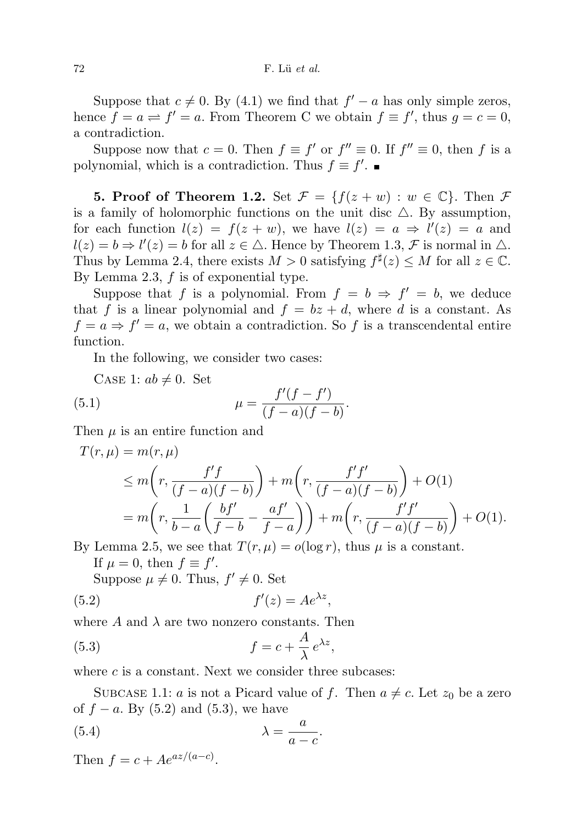## $72$  F. Lü et al.

Suppose that  $c \neq 0$ . By (4.1) we find that  $f' - a$  has only simple zeros, hence  $f = a \rightleftharpoons f' = a$ . From Theorem C we obtain  $f \equiv f'$ , thus  $g = c = 0$ , a contradiction.

Suppose now that  $c = 0$ . Then  $f \equiv f'$  or  $f'' \equiv 0$ . If  $f'' \equiv 0$ , then f is a polynomial, which is a contradiction. Thus  $f \equiv f'$ .

**5. Proof of Theorem 1.2.** Set  $\mathcal{F} = \{f(z+w) : w \in \mathbb{C}\}\)$ . Then  $\mathcal{F}$ is a family of holomorphic functions on the unit disc  $\triangle$ . By assumption, for each function  $l(z) = f(z + w)$ , we have  $l(z) = a \Rightarrow l'(z) = a$  and  $l(z) = b \Rightarrow l'(z) = b$  for all  $z \in \triangle$ . Hence by Theorem 1.3, F is normal in  $\triangle$ . Thus by Lemma 2.4, there exists  $M > 0$  satisfying  $f^{\sharp}(z) \leq M$  for all  $z \in \mathbb{C}$ . By Lemma 2.3,  $f$  is of exponential type.

Suppose that f is a polynomial. From  $f = b \Rightarrow f' = b$ , we deduce that f is a linear polynomial and  $f = bz + d$ , where d is a constant. As  $f = a \Rightarrow f' = a$ , we obtain a contradiction. So f is a transcendental entire function.

In the following, we consider two cases:

CASE 1:  $ab \neq 0$ . Set

(5.1) 
$$
\mu = \frac{f'(f - f')}{(f - a)(f - b)}.
$$

Then  $\mu$  is an entire function and

$$
T(r,\mu) = m(r,\mu)
$$
  
\n
$$
\leq m\left(r, \frac{f'f}{(f-a)(f-b)}\right) + m\left(r, \frac{f'f'}{(f-a)(f-b)}\right) + O(1)
$$
  
\n
$$
= m\left(r, \frac{1}{b-a}\left(\frac{bf'}{f-b} - \frac{af'}{f-a}\right)\right) + m\left(r, \frac{f'f'}{(f-a)(f-b)}\right) + O(1).
$$

By Lemma 2.5, we see that  $T(r,\mu) = o(\log r)$ , thus  $\mu$  is a constant. If  $\mu = 0$ , then  $f \equiv f'$ .

Suppose  $\mu \neq 0$ . Thus,  $f' \neq 0$ . Set

$$
(5.2) \t\t f'(z) = Ae^{\lambda z},
$$

where  $A$  and  $\lambda$  are two nonzero constants. Then

(5.3) 
$$
f = c + \frac{A}{\lambda} e^{\lambda z},
$$

where  $c$  is a constant. Next we consider three subcases:

SUBCASE 1.1: *a* is not a Picard value of *f*. Then  $a \neq c$ . Let  $z_0$  be a zero of  $f - a$ . By (5.2) and (5.3), we have

(5.4) 
$$
\lambda = \frac{a}{a - c}.
$$

Then  $f = c + Ae^{az/(a-c)}$ .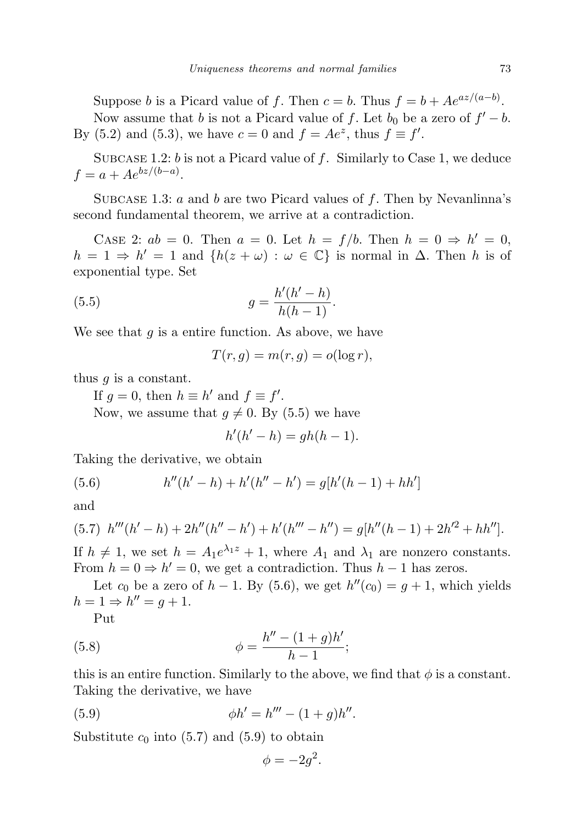Suppose b is a Picard value of f. Then  $c = b$ . Thus  $f = b + Ae^{az/(a-b)}$ . Now assume that b is not a Picard value of f. Let  $b_0$  be a zero of  $f' - b$ . By (5.2) and (5.3), we have  $c = 0$  and  $f = Ae^z$ , thus  $f \equiv f'$ .

SUBCASE 1.2: b is not a Picard value of f. Similarly to Case 1, we deduce  $f = a + Ae^{bz/(b-a)}$ .

SUBCASE 1.3: a and b are two Picard values of f. Then by Nevanlinna's second fundamental theorem, we arrive at a contradiction.

CASE 2:  $ab = 0$ . Then  $a = 0$ . Let  $h = f/b$ . Then  $h = 0 \Rightarrow h' = 0$ ,  $h = 1 \Rightarrow h' = 1$  and  $\{h(z + \omega) : \omega \in \mathbb{C}\}\$ is normal in  $\Delta$ . Then h is of exponential type. Set

(5.5) 
$$
g = \frac{h'(h'-h)}{h(h-1)}.
$$

We see that  $g$  is a entire function. As above, we have

$$
T(r,g) = m(r,g) = o(\log r),
$$

thus  $q$  is a constant.

If  $g = 0$ , then  $h \equiv h'$  and  $f \equiv f'$ . Now, we assume that  $q \neq 0$ . By (5.5) we have

$$
h'(h'-h) = gh(h-1).
$$

Taking the derivative, we obtain

(5.6) 
$$
h''(h'-h) + h'(h''-h') = g[h'(h-1) + hh']
$$

and

$$
(5.7) \ h'''(h'-h) + 2h''(h''-h') + h'(h'''-h'') = g[h''(h-1) + 2h'^2 + hh''].
$$

If  $h \neq 1$ , we set  $h = A_1 e^{\lambda_1 z} + 1$ , where  $A_1$  and  $\lambda_1$  are nonzero constants. From  $h = 0 \Rightarrow h' = 0$ , we get a contradiction. Thus  $h - 1$  has zeros.

Let  $c_0$  be a zero of  $h-1$ . By (5.6), we get  $h''(c_0) = g+1$ , which yields  $h = 1 \Rightarrow h'' = g + 1.$ 

Put

(5.8) 
$$
\phi = \frac{h'' - (1+g)h'}{h-1};
$$

this is an entire function. Similarly to the above, we find that  $\phi$  is a constant. Taking the derivative, we have

(5.9) 
$$
\phi h' = h''' - (1+g)h''.
$$

Substitute  $c_0$  into (5.7) and (5.9) to obtain

$$
\phi = -2g^2.
$$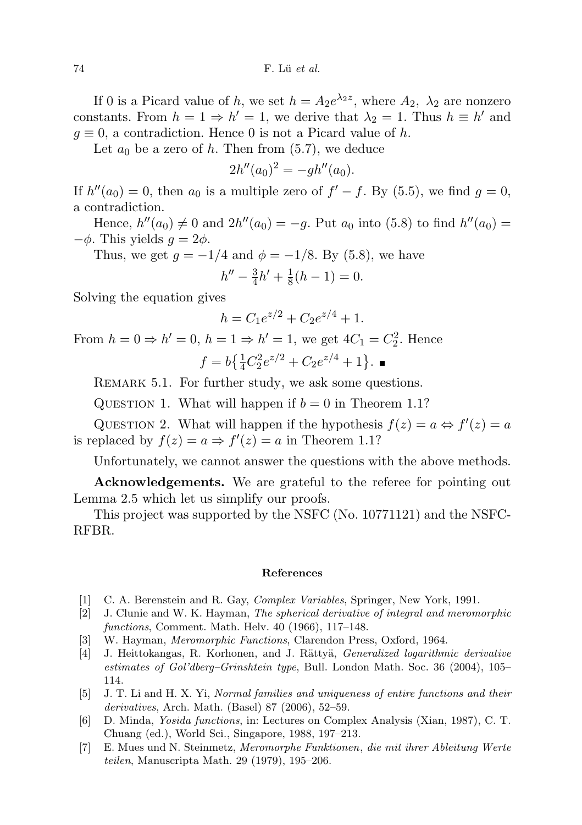If 0 is a Picard value of h, we set  $h = A_2 e^{\lambda_2 z}$ , where  $A_2$ ,  $\lambda_2$  are nonzero constants. From  $h = 1 \Rightarrow h' = 1$ , we derive that  $\lambda_2 = 1$ . Thus  $h \equiv h'$  and  $g \equiv 0$ , a contradiction. Hence 0 is not a Picard value of h.

Let  $a_0$  be a zero of h. Then from  $(5.7)$ , we deduce

$$
2h''(a_0)^2 = -gh''(a_0).
$$

If  $h''(a_0) = 0$ , then  $a_0$  is a multiple zero of  $f' - f$ . By (5.5), we find  $g = 0$ , a contradiction.

Hence,  $h''(a_0) \neq 0$  and  $2h''(a_0) = -g$ . Put  $a_0$  into (5.8) to find  $h''(a_0) =$  $-\phi$ . This yields  $q = 2\phi$ .

Thus, we get  $g = -1/4$  and  $\phi = -1/8$ . By (5.8), we have

$$
h'' - \frac{3}{4}h' + \frac{1}{8}(h-1) = 0.
$$

Solving the equation gives

$$
h = C_1 e^{z/2} + C_2 e^{z/4} + 1.
$$

From  $h = 0 \Rightarrow h' = 0$ ,  $h = 1 \Rightarrow h' = 1$ , we get  $4C_1 = C_2^2$ . Hence  $f = b\left\{\frac{1}{4}C_2^2e^{z/2} + C_2e^{z/4} + 1\right\}.$ 

REMARK 5.1. For further study, we ask some questions.

QUESTION 1. What will happen if  $b = 0$  in Theorem 1.1?

QUESTION 2. What will happen if the hypothesis  $f(z) = a \Leftrightarrow f'(z) = a$ is replaced by  $f(z) = a \Rightarrow f'(z) = a$  in Theorem 1.1?

Unfortunately, we cannot answer the questions with the above methods.

Acknowledgements. We are grateful to the referee for pointing out Lemma 2.5 which let us simplify our proofs.

This project was supported by the NSFC (No. 10771121) and the NSFC-RFBR.

### References

- [1] C. A. Berenstein and R. Gay, Complex Variables, Springer, New York, 1991.
- [2] J. Clunie and W. K. Hayman, The spherical derivative of integral and meromorphic functions, Comment. Math. Helv. 40 (1966), 117–148.
- [3] W. Hayman, Meromorphic Functions, Clarendon Press, Oxford, 1964.
- [4] J. Heittokangas, R. Korhonen, and J. Rättyä, *Generalized logarithmic derivative* estimates of Gol'dberg–Grinshtein type, Bull. London Math. Soc. 36 (2004), 105– 114.
- [5] J. T. Li and H. X. Yi, Normal families and uniqueness of entire functions and their derivatives, Arch. Math. (Basel) 87 (2006), 52–59.
- [6] D. Minda, Yosida functions, in: Lectures on Complex Analysis (Xian, 1987), C. T. Chuang (ed.), World Sci., Singapore, 1988, 197–213.
- [7] E. Mues und N. Steinmetz, Meromorphe Funktionen, die mit ihrer Ableitung Werte teilen, Manuscripta Math. 29 (1979), 195–206.